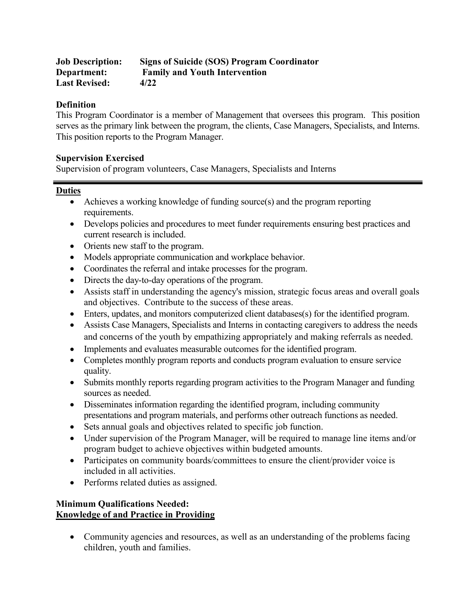| <b>Job Description:</b> | <b>Signs of Suicide (SOS) Program Coordinator</b> |
|-------------------------|---------------------------------------------------|
| Department:             | <b>Family and Youth Intervention</b>              |
| <b>Last Revised:</b>    | 4/22                                              |

## **Definition**

This Program Coordinator is a member of Management that oversees this program. This position serves as the primary link between the program, the clients, Case Managers, Specialists, and Interns. This position reports to the Program Manager.

#### **Supervision Exercised**

Supervision of program volunteers, Case Managers, Specialists and Interns

#### **Duties**

- Achieves a working knowledge of funding source(s) and the program reporting requirements.
- Develops policies and procedures to meet funder requirements ensuring best practices and current research is included.
- Orients new staff to the program.
- Models appropriate communication and workplace behavior.
- Coordinates the referral and intake processes for the program.
- Directs the day-to-day operations of the program.
- Assists staff in understanding the agency's mission, strategic focus areas and overall goals and objectives. Contribute to the success of these areas.
- Enters, updates, and monitors computerized client databases(s) for the identified program.
- Assists Case Managers, Specialists and Interns in contacting caregivers to address the needs and concerns of the youth by empathizing appropriately and making referrals as needed.
- Implements and evaluates measurable outcomes for the identified program.
- Completes monthly program reports and conducts program evaluation to ensure service quality.
- Submits monthly reports regarding program activities to the Program Manager and funding sources as needed.
- Disseminates information regarding the identified program, including community presentations and program materials, and performs other outreach functions as needed.
- Sets annual goals and objectives related to specific job function.
- Under supervision of the Program Manager, will be required to manage line items and/or program budget to achieve objectives within budgeted amounts.
- Participates on community boards/committees to ensure the client/provider voice is included in all activities.
- Performs related duties as assigned.

# **Minimum Qualifications Needed: Knowledge of and Practice in Providing**

• Community agencies and resources, as well as an understanding of the problems facing children, youth and families.